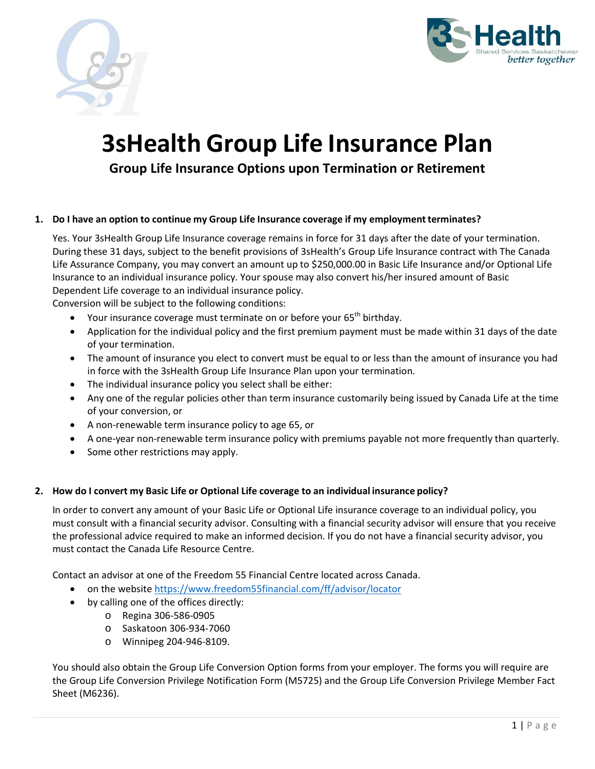



# **3sHealth Group Life Insurance Plan**

**Group Life Insurance Options upon Termination or Retirement** 

# **1. Do I have an option to continue my Group Life Insurance coverage if my employment terminates?**

Yes. Your 3sHealth Group Life Insurance coverage remains in force for 31 days after the date of your termination. During these 31 days, subject to the benefit provisions of 3sHealth's Group Life Insurance contract with The Canada Life Assurance Company, you may convert an amount up to \$250,000.00 in Basic Life Insurance and/or Optional Life Insurance to an individual insurance policy. Your spouse may also convert his/her insured amount of Basic Dependent Life coverage to an individual insurance policy.

Conversion will be subject to the following conditions:

- Your insurance coverage must terminate on or before your 65<sup>th</sup> birthday.
- Application for the individual policy and the first premium payment must be made within 31 days of the date of your termination.
- The amount of insurance you elect to convert must be equal to or less than the amount of insurance you had in force with the 3sHealth Group Life Insurance Plan upon your termination.
- The individual insurance policy you select shall be either:
- Any one of the regular policies other than term insurance customarily being issued by Canada Life at the time of your conversion, or
- A non-renewable term insurance policy to age 65, or
- A one‐year non‐renewable term insurance policy with premiums payable not more frequently than quarterly.
- Some other restrictions may apply.

# **2. How do I convert my Basic Life or Optional Life coverage to an individual insurance policy?**

In order to convert any amount of your Basic Life or Optional Life insurance coverage to an individual policy, you must consult with a financial security advisor. Consulting with a financial security advisor will ensure that you receive the professional advice required to make an informed decision. If you do not have a financial security advisor, you must contact the Canada Life Resource Centre.

Contact an advisor at one of the Freedom 55 Financial Centre located across Canada.

- on the website https://www.freedom55financial.com/ff/advisor/locator
- by calling one of the offices directly:
	- o Regina 306‐586‐0905
	- o Saskatoon 306‐934‐7060
	- o Winnipeg 204‐946‐8109.

You should also obtain the Group Life Conversion Option forms from your employer. The forms you will require are the Group Life Conversion Privilege Notification Form (M5725) and the Group Life Conversion Privilege Member Fact Sheet (M6236).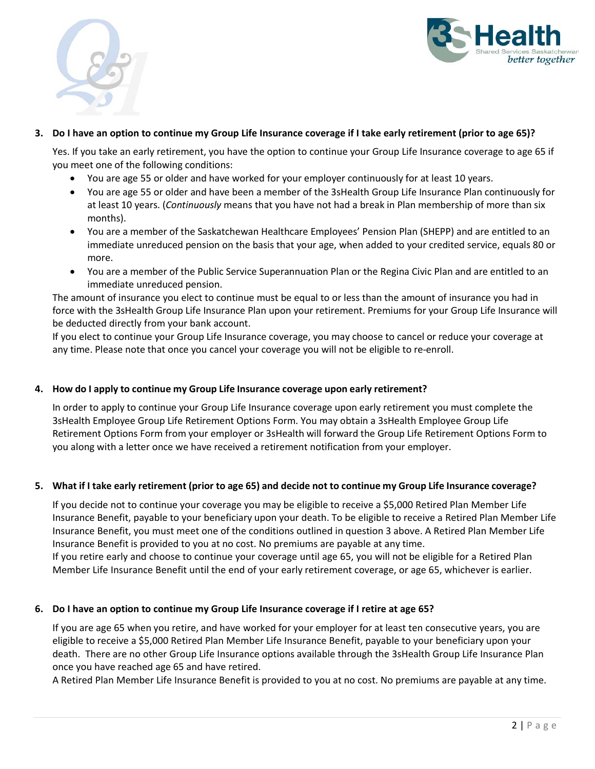



#### **3. Do I have an option to continue my Group Life Insurance coverage if I take early retirement (prior to age 65)?**

Yes. If you take an early retirement, you have the option to continue your Group Life Insurance coverage to age 65 if you meet one of the following conditions:

- You are age 55 or older and have worked for your employer continuously for at least 10 years.
- You are age 55 or older and have been a member of the 3sHealth Group Life Insurance Plan continuously for at least 10 years. (*Continuously* means that you have not had a break in Plan membership of more than six months).
- You are a member of the Saskatchewan Healthcare Employees' Pension Plan (SHEPP) and are entitled to an immediate unreduced pension on the basis that your age, when added to your credited service, equals 80 or more.
- You are a member of the Public Service Superannuation Plan or the Regina Civic Plan and are entitled to an immediate unreduced pension.

The amount of insurance you elect to continue must be equal to or less than the amount of insurance you had in force with the 3sHealth Group Life Insurance Plan upon your retirement. Premiums for your Group Life Insurance will be deducted directly from your bank account.

If you elect to continue your Group Life Insurance coverage, you may choose to cancel or reduce your coverage at any time. Please note that once you cancel your coverage you will not be eligible to re-enroll.

# **4. How do I apply to continue my Group Life Insurance coverage upon early retirement?**

In order to apply to continue your Group Life Insurance coverage upon early retirement you must complete the 3sHealth Employee Group Life Retirement Options Form. You may obtain a 3sHealth Employee Group Life Retirement Options Form from your employer or 3sHealth will forward the Group Life Retirement Options Form to you along with a letter once we have received a retirement notification from your employer.

# **5. What if I take early retirement (prior to age 65) and decide not to continue my Group Life Insurance coverage?**

If you decide not to continue your coverage you may be eligible to receive a \$5,000 Retired Plan Member Life Insurance Benefit, payable to your beneficiary upon your death. To be eligible to receive a Retired Plan Member Life Insurance Benefit, you must meet one of the conditions outlined in question 3 above. A Retired Plan Member Life Insurance Benefit is provided to you at no cost. No premiums are payable at any time.

If you retire early and choose to continue your coverage until age 65, you will not be eligible for a Retired Plan Member Life Insurance Benefit until the end of your early retirement coverage, or age 65, whichever is earlier.

# **6. Do I have an option to continue my Group Life Insurance coverage if I retire at age 65?**

If you are age 65 when you retire, and have worked for your employer for at least ten consecutive years, you are eligible to receive a \$5,000 Retired Plan Member Life Insurance Benefit, payable to your beneficiary upon your death. There are no other Group Life Insurance options available through the 3sHealth Group Life Insurance Plan once you have reached age 65 and have retired.

A Retired Plan Member Life Insurance Benefit is provided to you at no cost. No premiums are payable at any time.